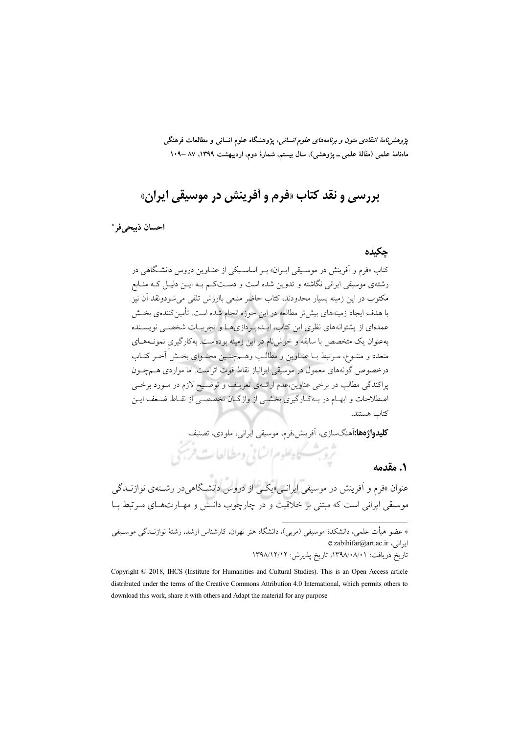*پژوهشنامهٔ انتقادی متون و برنامههای علوم انسانی*، پژوهشگاه علوم انسانی و مطالعات فرهنگی ماهنامهٔ علمی (مقالهٔ علمی ــ پژوهشی)، سال بیستم، شمارهٔ دوم، اردیبهشت ۱۳۹۹، ۸۷ –۱۰۹

# بررسي و نقد کتاب «فرم و أفرينش در موسيقي ايران»

احسان ذسحر في \*

#### چکیدہ

کتاب «فرم و اَفرینش در موسـیقی ایـران» بـر اساسـیکی از عنـاوین دروس دانشـگاهی در رشتهي موسيقي ايراني نگاشته و تدوين شده است و دســتکـم بــه ايــن دليــل کــه منــابع مکتوب در این زمینه بسیار محدودند، کتاب حاضر منبعی باارزش تلقی می شودونقد آن نیز با هدف ایجاد زمینههای بیش تر مطالعه در این حوزه انجام شده است. تأمین کنندهی بخــش عمدهای از پشتوانههای نظری این کتاب، ایــدهپـردازیهــا و تجربیــات شخصــی نویســنده بهعنوان یک متخصص با سابقه و خوش نام در این زمینه بودهاست. بهکارگیری نمونـههـای متعدد و متنـوع، مـرتبط بــا عنــاوين و مطالـب وهــمچنــين محتــواي بخــش آخــر كتــاب درخصوص گونههای معمول در موسیقی ایرانیاز نقاط قوت اثراست. اما مواردی هـمچــون پراکندگی مطالب در برخی عناوین،عدم ارائــهی تعریــف و توضــیح لازم در مــورد برخــی اصطلاحات و ابهـام در بـهكـارگيري بخشـي از واژگـان تخصصـي از نقـاط ضـعف ايـن كتاب هستند.

**کلیدواژهها:**آهنگسازی، آفرینش،فرم، موسیقی ایرانی، ملودی، تصنیف

### ٠. مقدمه

عنوان «فرم و اَفرینش در موسیقی ایرانسی»یکسی از دروس دانشگاهی در رشتهی نوازنــدگی موسیقی ایرانی است که مبتنی بر خلاقیت و در چارچوب دانــش و مهــارت۱عـای مــرتبط بــا

تروبهشسكاه علوم الساني ومطالعات فريحي

\* عضو هیأت علمی، دانشکدهٔ موسیقی (مربی)، دانشگاه هنر تهران، کارشناس ارشد، رشتهٔ نوازنـدگی موسـیقی e.zabihifar@art.ac.ir

تاریخ دریافت: ۰۸/۰۸/۰۸/۰۱، تاریخ پذیرش: ۱۳۹۸/۱۲/۱۲

Copyright © 2018, IHCS (Institute for Humanities and Cultural Studies). This is an Open Access article distributed under the terms of the Creative Commons Attribution 4.0 International, which permits others to download this work, share it with others and Adapt the material for any purpose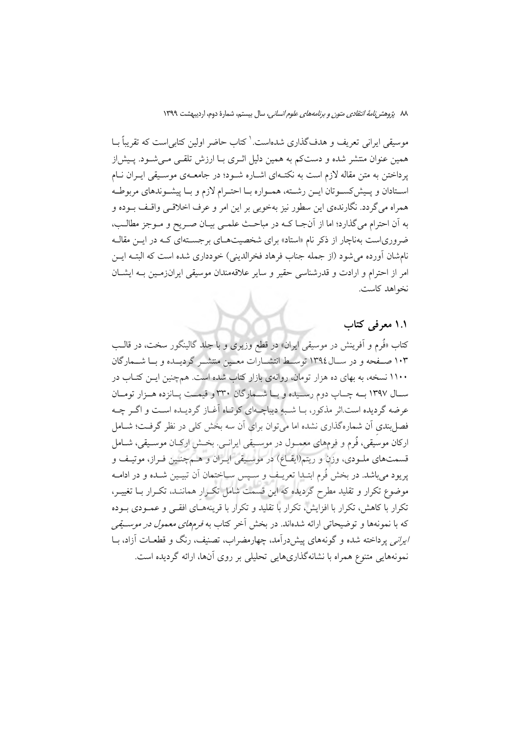٨٨ ي*ژوهش نامة انتقادى متون و برنامههاى علوم انسانى،* سال بيستم، شمارة دوم، ارديبهشت ١٣٩٩

موسیقی ایرانی تعریف و هدفگذاری شدهاست. کتاب حاضر اولین کتابی است که تقریباً بــا همین عنوان منتشر شده و دستکم به همین دلیل اثـری بـا ارزش تلقـی مـیشـود. پـیش|ز پرداختن به متن مقاله لازم است به نکتـهای اشـاره شـود؛ در جامعـهی موسـیقی ایـران نـام استادان و پیش کسوتان ایـن رشـته، همـواره بـا احتـرام لازم و بـا پیشـوندهای مربوطـه همراه مي گردد. نگارندهي اين سطور نيز بهخوبي بر اين امر و عرف اخلاقـي واقـف بــوده و به آن احترام میگذارد؛ اما از آنجـا کـه در مباحـث علمـی بیـان صـریح و مـوجز مطالـب، ضروریاست بهناچار از ذکر نام «استاد» برای شخصیتهـای برجسـتهای کـه در ایــن مقالـه نامشان آورده می شود (از جمله جناب فرهاد فخرالدینی) خودداری شده است که البتـه ایــن امر از احترام و ارادت و قدرشناسی حقیر و سایر علاقهمندان موسیقی ایرانزمـین بـه ایشـان نخواهد كاست.

### ۱.۱ معرفی کتاب

کتاب «فُرِم و اَفرینش در موسیقی ایران» در قطع وزیری و با جلد گالینگور سخت، در قالـب ۱۰۳ صـفحه و در سـال١٣٩٤ توسـط انتشـارات معـين منتشـر گرديــده و بــا شــمارگان ۱۱۰۰ نسخه، به بهای ده هزار تومان، روانهی بازار کتاب شده است. همچنین ایــن کتــاب در سـال ١٣٩٧ بــه چــاپ دوم رســيده و بــا شــمارگان ٣٣٠ و قيمــت يــانزده هــزار تومــان عرضه گردیده است اثر مذکور، بـا شـبهِ دیباچـهای کوتـاه آغـاز گردیـده اسـت و اگــر چــه فصل بندی آن شمارهگذاری نشده اما می توان برای آن سه بخش کلی در نظر گرفت؛ شــامل ارکان موسَیقی، فُرم و فرمهای معمـول در موسـیقی ایرانــی. بخــش ارکــان موسـیقی، شــامل قسمتهاي ملـودي، وزن و ريتم(ايقـاع) در موسـيقى ايـران و هـمچنـين فـراز، موتيـف و يريود مي باشد. در بخش فُرِم ابتـدا تعريـف و سِـيس سـاختمان أن تبيـين شـده و در ادامـه موضوع تکرار و تقلید مطرح گردیده که این قسمت شامل تکرار هماننـد، تکـرار بـا تغییـر، تکرار با کاهش، تکرار با افزایش، تکرار با تقلید و تکرار با قرینههـای افقـی و عمـودی بـوده که با نمونهها و توضیحاتی ارائه شدهاند. در بخش آخر کتاب به *فرمهای معمول در موسـیقی* ایرانبی یرداخته شده و گونههای پیش درآمد، چهارمضراب، تصنیف، رنگ و قطعـات آزاد، بــا نمونههایی متنوع همراه با نشانهگذاریهایی تحلیلی بر روی آنها، ارائه گردیده است.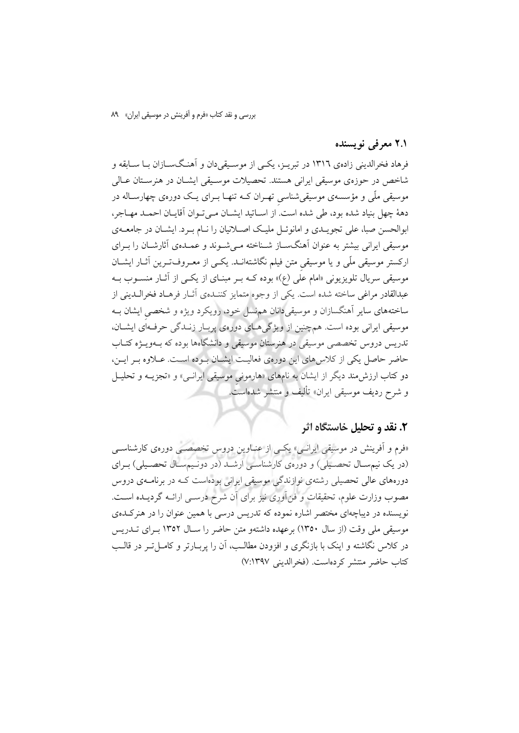بررسی و نقد کتاب «فرم و آفرینش در موسیقی ایران» ۸۹

### ۲.۱ معرفی نویسنده

فرهاد فخرالدینی زادهی ۱۳۱٦ در تیریـز، یکـی از موسـبقی دان و آهنـگسـازان بـا سـابقه و شاخص در حوزهي موسيقى ايراني هستند. تحصيلات موسـيقى ايشــان در هنرســتان عــالى موسیقی ملّی و مؤسسهی موسیقیشناسی تهـران کــه تنهـا بــرای یــک دورهی چهارســاله در دههٔ چهل بنیاد شده بود، طی شده است. از اسـاتید ایشـان مـی تـوان آقایـان احمـد مهـاجر، ابوالحسن صبا، علی تجویـدی و امانوئــل ملیـک اصــلانیان را نــام بــرد. ایشــان در جامعــهی موسیقی ایرانی بیشتر به عنوان آهنگســاز شــناخته مــی شــوند و عمــدهی آثارشــان را بــرای ارکستر موسیقی ملّی و یا موسیقی متن فیلم نگاشتهانــد. یکــی از معــروف-تــرین آثــار ایشــان موسیقی سریال تلویزیونی «امام علی (ع)» بوده کـه بـر مبنـای از یکـی از آثـار منســوب بــه عبدالقادر مراغي ساخته شده است. يكي از وجوه متمايز كننـدهي أثــار فرهــاد فخرالــديني از ساختههای سایر آهنگسازان و موسیقی دانان هم نسل خود، رویکرد ویژه و شخصی ایشان بـه موسیقی ایرانی بوده است. همچنین از ویژگی هـای دورهی پربـار زنـدگی حرفـهای ایشـان، تدریس دروس تخصصی موسیقی در هنرستان موسیقی و دانشگاهها بوده که بـهویــژه کتــاب حاضر حاصل یکی از کلاس های این دورهی فعالیت ایشان بوده است. عـلاوه بـر ایـن، دو کتاب ارزش مند دیگر از ایشان به نامهای «هارمونی موسیقی ایرانسی» و «تجزیــه و تحلیــل و شرح رديف موسيقى ايران» تأليف و منتشر شدهاست.

### ۲. نقد و تحلیل خاستگاه اثر

«فرم و آفرینش در موسیقی ایرانسی» یکسی از عنـاوین دروس تخصصـی دورهی کارشناسـی (در یک نیمسـال تحصـیلی) و دورهی کارشناسـی ارشــد (در دونـیمسـال تحصـیلی) بـرای دورههای عالمی تحصیلی رشتهی نوازندگی موسیقی ایرانی بودهاست کـه در برنامــهی دروس مصوب وزارت علوم، تحقیقات و فن آوری نیز برای آن شرح درســی ارائــه گردیــده اســت. نویسنده در دیباچهای مختصر اشاره نموده که تدریس درسی با همین عنوان را در هنرکـدهی موسیقی ملی وقت (از سال ۱۳۵۰) برعهده داشتهو متن حاضر را سبال ۱۳۵۲ بیرای تبدر پس در کلاس نگاشته و اینک با بازنگری و افزودن مطالب، آن را پربـارتر و کامـلتـر در قالـب كتاب حاضر منتشر كردهاست. (فخرالديني ٧:١٣٩٧)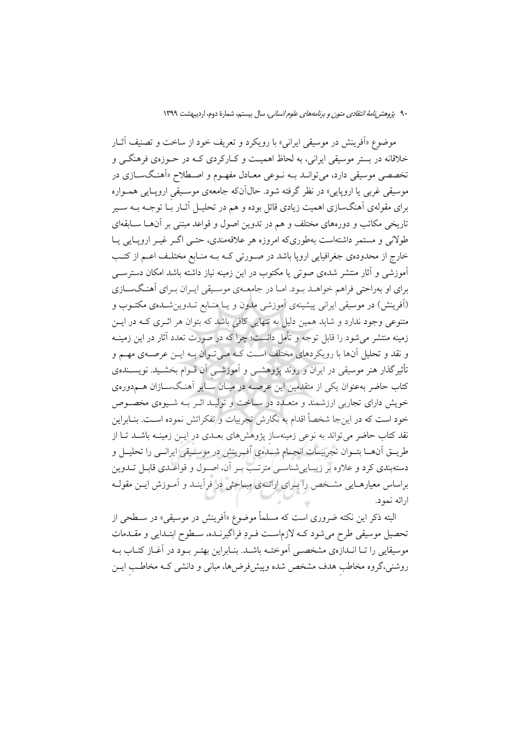موضوع «اَفرینش در موسیقی ایرانی» با رویکرد و تعریف خود از ساخت و تصنیف آثــار خلاقانه در بستر موسیقی ایرانی، به لحاظ اهمیت و کـارکردی کـه در حـوزهی فرهنگــی و تخصصی موسیقی دارد، می توانــد بــه نــوعی معــادل مفهــوم و اصــطلاح «اَهنــگســازی در موسیقی غربی یا اروپایی» در نظر گرفته شود. حال1آنکه جامعهی موسـیقی اروپـایی همـواره برای مقولهی آهنگسازی اهمیت زیادی قائل بوده و هم در تحلیــل آثــار بـُـا توجــه بــه ســیر تاریخی مکاتب و دورههای مختلف و هم در تدوین اصول و قواعد مبتنی بر آنهـا ســابقهای طولانی و مستمر داشتهاست بهطوریکه امروزه هر علاقهمندی، حتـبی اگــر غیــر ارویــایی یــا خارج از محدودهی جغرافیایی اروپا باشد در صـورتی کـه بـه منـابع مختلـف اعـم از کتـب آموزشی و آثار منتشر شدهی صوتی یا مکتوب در این زمینه نیاز داشته باشد امکان دسترس<sub>می</sub> برای او بهراحتی فراهم خواهـد بـود. امـا در جامعـهی موسـیقی ایـران بـرای آهنـگسـازی (اَفرینش) در موسیقی ایرانی پیشینهی اَموزشی مدون و یـا منـابع تـدوینشـدهی مکتـوب و متنوعي وجود ندارد و شايد همين دليل به تنهايي كافي باشد كه بتوان هر اثـري كــه در ايــن زمینه منتشر می شود را قابل توجه و تأمل دانست؛ چرا که در صورت تعدد آثار در این زمینــه و نقد و تحلیل آنها با رویکردهای مختلف است کـه مـیتـوان بـه ایــن عرصــهی مهــم و تأثیر گذار هنر موسیقی در ایران و روند یژوهشــی و آموزشــی آن قــوام بخشــید. نویســندهی کتاب حاضر بهعنوان یکی از متقدمین این عرصـه در میـان سـایر آهنـگ<code>سـازان هـم<وره</code>ی خویش دارای تجاربی ارزشمند و متعـدد در سـاخت و تولیـد اثـر بـه شـیوهی مخصـوص خود است که در اینجا شخصاً اقدام به نگارش تجربیات و تفکراتش نموده اسـت. بنـابراین .<br>نقد کتاب حاضر می تواند به نوعی زمینهساز یژوهشهای بعـدی در ایــن زمینــه باشــد تــا از طريـــق أن\هـــا بتـــوان تجربيـــات انجـــام شــبـُدهي أفــرينش در موســيقي ايرانـــي را تحليـــل و دستهبندی کرد و علاوه بر زیبایی شناسبی مترتب بـر آن، اصـول و قواعـدی قابـل تــدوین براساس معیارهـایی مشـخص را بـرای ارائـهی مبـاحثی در فرآینـد و آمـوزش ایــن مقولــه ارائه نمود.

البته ذکر این نکته ضروری است که مسلماً موضوع «اَفرینش در موسیقی» در سـطحی از تحصیل موسیقی طرح میشود کـه لازماسـت فـردِ فراگیرنـده، سـطوح ابتـدایی و مقـدمات موسیقایی را تـا انـدازهي مشخصـي اَموختـه باشـد. بنـابراین بهتـر بـود در اَغـاز کتـاب بـه روشنی،گروه مخاطب هدف مشخص شده وپیشفررضها، مبانی و دانشی کـه مخاطـب ایــن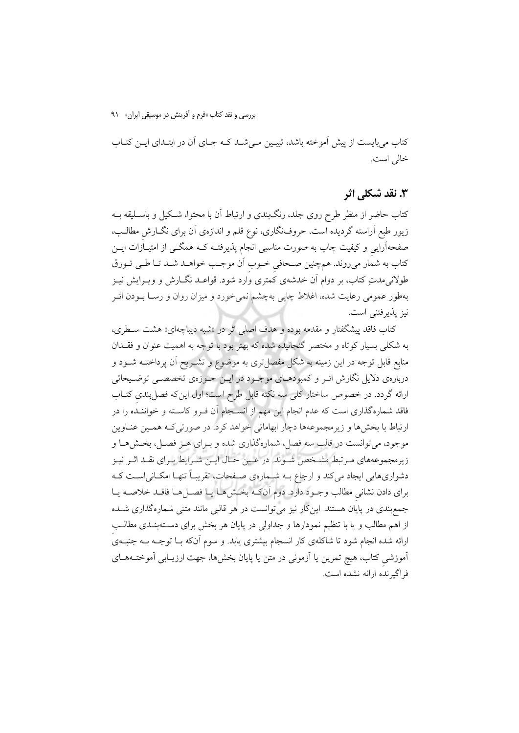بررسی و نقد کتاب «فرم و آفرینش در موسیقی ایران» ۹۱

کتاب می بایست از پیش آموخته باشد، تبیـین مـیشـد کـه جـای آن در ابتـدای ایــن کتــاب خالي است.

### ۳. نقد شکلی اثر

کتاب حاضر از منظر طرح روی جلد، رنگبندی و ارتباط آن با محتوا، شـکیل و باسـلیقه بــه زیور طبع اَراسته گردیده است. حروف:گاری، نوع قلم و اندازهی اَن برای نگــارش مطالــب، صفحهآرایی و کیفیت چاپ به صورت مناسبی انجام پذیرفتـه کــه همگــی از امتیــاَزات ایــن کتاب به شمار میروند. همچنین صـحافی خــوب اَن موجـب خواهــد شــد تــا طــی تــورق طولانی مدتِ کتاب، بر دوام آن خدشهی کمتری وارد شود. قواعـد نگــارش و ویــرایش نیــز بهطور عمومی رعایت شده، اغلاط چاپی بهچشم نمیخورد و میزان روان و رســا بــودن اثــر نيز يذيرفتني است.

کتاب فاقد پیشگفتار و مقدمه بوده و هدف اصل<sub>ی</sub> اثر در «شبه دیباچهای» هشت ســطری، به شکلی بسیار کوتاه و مختصر گنجانیده شده که بهتر بود با توجه به اهمیت عنوان و فقـدان منابع قابل توجه در این زمینه به شکل مفصل تری به موضوع و تشــریح آن پرداختــه شــود و دربارهي دلايل نگارش اثـر و كمبودهـاي موجـود در ايـن حـوزهي تخصصـي توضـيحاتي ارائه گردد. در خصوص ساختار کلی سه نکته قابل طرح است؛ اول این که فصل بندی کتـاب فاقد شمارهگذاری است که عدم انجام این مهم از انسـجام اَن فـرو کاسـته و خواننـده را در ارتباط با بخش ها و زیر مجموعهها دچار ابهاماتی خواهد کرد. در صورتی کـه همـین عنــاوین موجود، میتوانست در قالب سه فصل، شمارهگذاری شده و بـرای هـر فصـل، بخـشهـا و زیر مجموعههای مـرتبط مشـخص شـوند. در عـین حـال ایـن شـرایط بـرای نقـد اثـر نیـز دشواریهایی ایجاد میکند و ارجاع بـه شـمارهی صـفحات، تقریبـاً تنهـا امکـانی|سـت کـه براي دادن نشاني مطالب وجـود دارد. دوم آنکـه بخـش٨هـا يـا فصـلهـا فاقـد خلاصـه يـا جمع بندی در پایان هستند. این کار نیز می توانست در هر قالبی مانند متنی شماره گذاری شــده از اهم مطالب و یا با تنظیم نمودارها و جداولی در پایان هر بخش برای دستهبنـدی مطالـب ارائه شده انجام شود تا شاکلهی کار انسجام بیشتری یابد. و سوم آنکه بـا توجــه بــه جنبــهی اَموزشی کتاب، هیچ تمرین یا اَزمونی در متن یا پایان بخشها، جهت ارزیـابی اَموختــههــای فراگیرنده ارائه نشده است.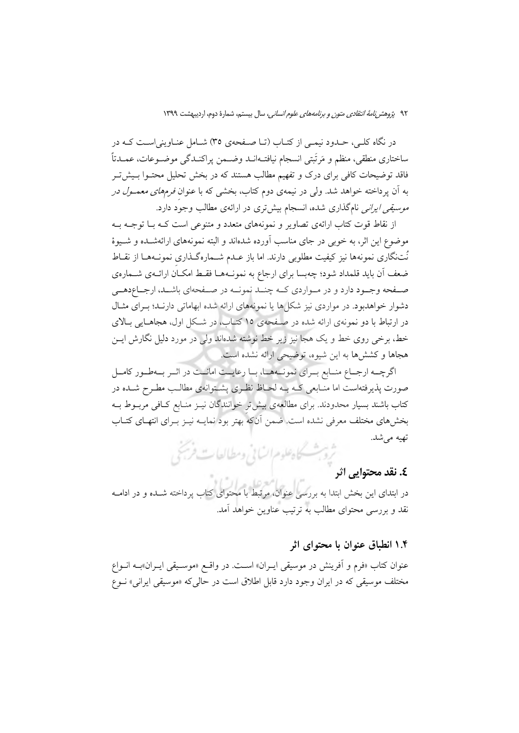در نگاه کلـی، حـدود نیمـی از کتـاب (تـا صـفحهی ٣٥) شـامل عنـاوینی|سـت کـه در ساختاري منطقي، منظم و مَرتَبتي انسجام نيافتــهانــد وضــمن يراكنــدگي موضــوعات، عمــدتاً فاقد توضیحات کافی برای درک و تفهیم مطالب هستند که در بخش تحلیل محتـوا بـیش5تـر به آن پرداخته خواهد شد. ول<sub>ی</sub> در نیمهی دوم کتاب، بخش<sub>ع</sub> که با عنوان *فرمهای معمـول در موسیقی ایرانی* نامگذاری شده، انسجام بیشتری در ارائهی مطالب وجود دارد.

از نقاط قوت کتاب ارائهی تصاویر و نمونههای متعدد و متنوعی است کـه بــا توجــه بــه موضوع این اثر، به خوبی در جای مناسب آورده شدهاند و البته نمونههای ارائهشــده و شــیوهٔ نُتنگاری نمونهها نیز کیفیت مطلوبی دارند. اما باز عـدم شــمارهگـذاری نمونــههـا از نقــاط ضعف آن باید قلمداد شود؛ چهبسا برای ارجاع به نمونــههــا فقــط امکــان ارائــهی شـــمارهی صـفحه وجـود دارد و در مـواردي كـه چنــد نمونــه در صـفحهاي باشــد، ارجــاعدهــي دشوار خواهدبود. در مواردی نیز شکلها یا نمونههای ارائه شده ابهاماتی دارند؛ بـرای مثـال در ارتباط با دو نمونهی ارائه شده در صفحهی ۱۵ کتـاب، در شـکل اول، هجاهـایی بـالای خط، برخی روی خط و یک هجا نیز زیر خط نوشته شدهاند ولی در مورد دلیل نگارش ایــن هجاها و کششها به این شیوه، توضیحی ارائه نشده است.

اگرچـه ارجـاع منـابع بـراي نمونـههـا، بـا رعايــت امانــت در اثـر بـهطـور كامـل صورت پذیرفتهاست اما منـابعی کـه بـه لحـاظ نظـری پشـتوانهی مطالـب مطـرح شــده در كتاب باشند بسيار محدودند. براي مطالعهي بيش تر خوانندگان نيـز منـابع كـافي مربــوط بــه بخشهای مختلف معرفی نشده است. ضمن آنکه بهتر بود نمایــه نیــز بــرای انتهــای کتــاب تھیه می شد. ثروبث كاهلوم السابي ومطالعات فريجى

## **٤. نقد محتوابي اثر**

در ابتدای این بخش ابتدا به بررسی عنوان، مرتبط با محتوای کتاب پرداخته شــده و در ادامــه نقد و بررسی محتوای مطالب به ترتیب عناوین خواهد آمد.

#### ۱.۴ انطباق عنوان با محتوای اثر

عنوان کتاب «فرم و اَفرینش در موسیقی ایــران» اســت. در واقــع «موســیقی ایــران»بــه انــواع مختلف موسیقی که در ایران وجود دارد قابل اطلاق است در حال<sub>ی</sub>که «موسیقی ایرانی» نـوع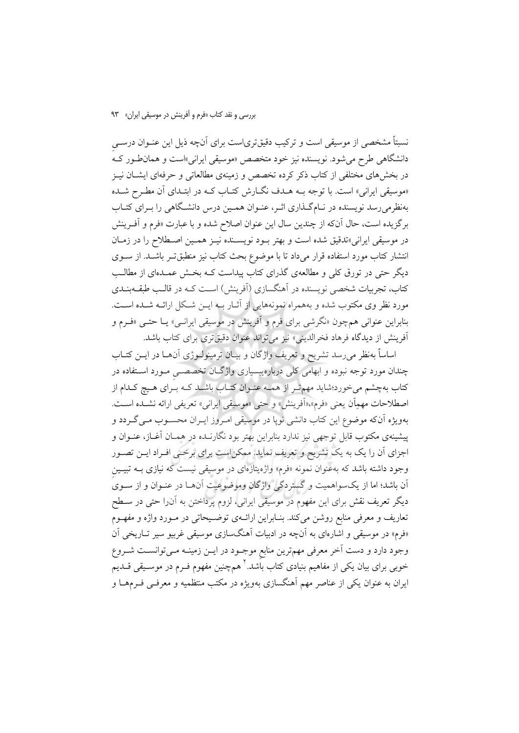نسبتاً مشخصی از موسیقی است و ترکیب دقیقتریاست برای آنچه ذیل این عنـوان درســی دانشگاهی طرح می شود. نویسنده نیز خود متخصص «موسیقی ایرانی»است و همان طور که در بخشهای مختلفی از کتاب ذکر کرده تخصص و زمینهی مطالعاتی و حرفهای ایشــان نیــز «موسیقی ایرانی» است. با توجه بــه هــدف نگــارش کتــاب کــه در ابتــدای آن مطــرح شــده بهنظرمی رسد نویسنده در نـامگـذاری اثـر، عنـوان همـین درس دانشـگاهی را بـرای کتـاب برگزيده است، حال آنكه از چندين سال اين عنوان اصلاح شده و با عبارت «فرم و آفـرينش در موسیقی ایرانی»تدقیق شده است و بهتر بـود نویسـنده نیـز همـین اصـطلاح را در زمـان انتشار کتاب مورد استفاده قرار میداد تا با موضوع بحث کتاب نیز منطبقتـر باشــد. از ســوی دیگر حتی در تورق کلی و مطالعهی گذرای کتاب پیداست کـه بخـش عمـدهای از مطالـب کتاب، تجربیات شخصی نویسنده در آهنگسازی (آفرینش) اسـت کــه در قالـب طبقــهبنــدی مورد نظر وي مكتوب شده و بههمراه نمونههايي از آثـار بـه ايــن شـكل ارائــه شــده اســت. بنابراین عنوانی همچون «نگرشی برای فرم و اَفرینش در موسیقی ایرانسی» یــا حتــی «فــرم و آفرینش از دیدگاه فرهاد فخرالدینی» نیز میتواند عنوان دقیقتری برای کتاب باشد.

اساساً بهنظر می رسد تشریح و تعریف واژگان و بیـان ترمینولـوژی آنهـا در ایــن کتــاب چندان مورد توجه نبوده و ابهامی کلی دربارهیبسیاری واژگـان تخصصــی مــورد اســتفاده در کتاب بهچشم میخورد؛شاید مهم تـر از همــه عنـوان کتــاب باشــد کــه بـُرای هــیچ کــدام از اصطلاحات مهمِاّن يعني «فرم»،«أفرينش» و حتى «موسيقى ايراني» تعريفي ارائه نشــده اســت. بهویژه آنکه موضوع این کتاب دانشی نوپا در موسیقی امـروز ایـران محسـوب مـی گـردد و پیشینهی مکتوب قابل توجهی نیز ندارد بنابراین بهتر بود نگارنـده در همـان آغـاز، عنـوان و اجزای آن را یک به یک تشریح و تعریف نماید. ممکن است برای برخـی افـراد ایــن تصـور وجود داشته باشد که بهعنوان نمونه «فرم» واژهیتازهای در موسیقی نیست که نیازی بــه تبیــین .<br>آن باشد؛ اما از یکسواهمیت و گستردگی واژگان وموضوعیت آنهــا در عنــوان و از ســویَ دیگر تعریف نقش برای این مفهوم در موسیقی ایرانی، لزوم پرداختن به آن(ا حتی در سـطح تعاریف و معرفی منابع روشن میکند. بنـابراین ارائـهی توضـیحاتی در مـورد واژه و مفهـوم «فرم» در موسیقی و اشارهای به آنچه در ادبیات آهنگسازی موسیقی غربیو سیر تـاریخی آن وجود دارد و دست آخر معرفی مهمترین منابع موجـود در ایــن زمینــه مــیتوانســت شــروع خوبی برای بیان یکی از مفاهیم بنیادی کتاب باشد.<sup>۲</sup> همچنین مفهوم فــرم در موســیقی قــدیم ایران به عنوان یکی از عناصر مهم آهنگسازی بهویژه در مکتب منتظمیه و معرفـی فــرمهــا و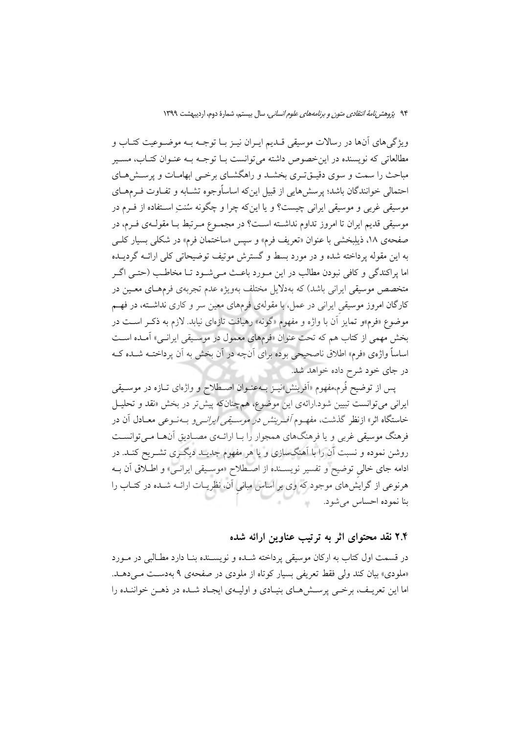ويژگيهاي اّنها در رسالات موسيقي قـديم ايـران نيـز بــا توجــه بــه موضــوعيت كتــاب و مطالعاتی که نویسنده در اینخصوص داشته می<mark>توانست ب</mark>ا توجـه بـه عنـوان کتـاب، مسـیر مباحث را سمت و سوی دقیــقتـری بخشــد و راهگشــای برخــی ابهامــات و پرســش۹ــای احتمالی خوانندگان باشد؛ پرسشهایی از قبیل اینکه اساسأوجوه تشـابه و تفـاوت فـرمهـای موسیقی غربی و موسیقی ایرانی چیست؟ و یا اینکه چرا و چگونه سُنتِ اسـتفاده از فـرم در موسيقى قديم ايران تا امروز تداوم نداشته اسـت؟ در مجمـوع مـرتبط بـا مقولـهي فـرم، در صفحهي ١٨، ذيلبخشي با عنوان «تعريف فرم» و سيس «ساختمان فرم» در شكلي بسيار كلبي به این مقوله برداخته شده و در مورد بسط و گسترش موتیف توضیحاتی کلی ارائــه گردیــده اما پراکندگی و کافی نبودن مطالب در این مـورد باعـث مـیشـود تـا مخاطـب (حتـی اگـر متخصص موسیقی ایرانی باشد) که بهدلایل مختلف بهویژه عدم تجربهی فرمهـای معـین در کارگان امروز موسیقی ایرانی در عمل، با مقولهی فرمهای معین سر و کاری نداشته، در فهم موضوع «فرم»و تمایز آن با واژه و مفهوم «گونه» رهیافت تازهای نیابد. لازم به ذکـر اســت در بخش مهمی از کتاب هم که تحت عنوان «فرمهای معمول در موسـیقی ایرانـی» آمـده اسـت اساساً واژهی «فرم» اطلاق ناصحیحی بوده برای آنچه در آن بخش به آن پرداختــه شــده کــه در جای خود شرح داده خواهد شد.

پس از توضیح فُرم،مفهوم «اَفرینش»نیــز بــهعنــوان اصــطلاح و واژهای تــازه در موســیقی ایرانی می توانست تبیین شود.ارائهی این موضوع، همچنانکه پیش تر در بخش «نقد و تحلیـل خاستگاه اثر» ازنظر گذشت، مفهـوم *أفـرينش در موسـيقى ايرانـي و* بـهنـوعى معـادل أن در فرهنگ موسیقی غربی و یا فرهنگهای همجوار را بیا ارائیهی مصبادیق آنهبا می توانسیت روشن نموده و نسبت آن را با آهنگسازی و یا هر مفهوم جدیـد دیگـری تشـریح کنـد. در ادامه جای خالی توضیح و تفسیر نویسـنده از اصـطلاح «موسـیقی ایرانـی» و اطـلاق آن بـه هرنوعی از گرایش های موجود که وی بر اساس مبانی آن، نظریــات ارائــه شــده در کتــاب را بنا نموده احساس می شود.

### ۲.۴ نقد محتوای اثر به ترتیب عناوین ارائه شده

در قسمت اول كتاب به اركان موسيقى يرداخته شـده و نويسـنده بنـا دارد مطـالبي در مـورد «ملودي» بيان كند ولي فقط تعريفي بسيار كوتاه از ملودي در صفحهي ۹ بهدست مـ دهـد. اما این تعریـف، برخـی پرســش۵مـای بنیـادی و اولیــهی ایجـاد شــده در ذهــن خواننــده را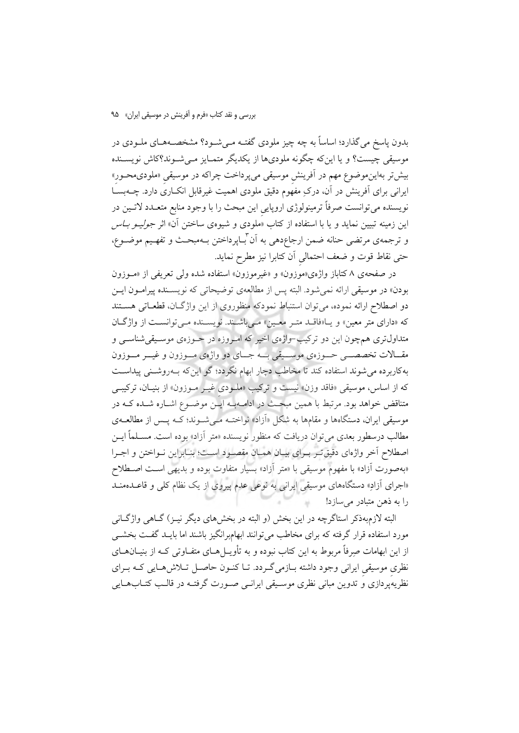بدون پاسخ می گذارد؛ اساساً به چه چیز ملودی گفتـه مـیشـود؟ مشخصــههـای ملــودی در موسیقی چیست؟ و یا اینکه چگونه ملودیها از یکدیگر متمـایز مـی شـوند؟کاش نویسـنده بیش تر بهاینموضوع مهم در آفرینش موسیقی میپرداخت چراکه در موسیقی «ملودیمحـور» ایرانی برای آفرینش در آن، درکِ مفهُوم دقیق ملودی اهمیت غیرقابل انکــاری دارد. چــهبســا نویسنده میتوانست صرفاً ترمینولوژی اروپایی این مبحث را با وجود منابع متعـدد لاتـین در این زمینه تبیین نماید و یا با استفاده از کتاب «ملودی و شیوهی ساختن آن» اثر *جولیـو بـاس* و ترجمهى مرتضى حنانه ضمن ارجاعِدهى به اَن ٌباپرداختن بـهمبحـث و تفهـيم موضــوع، حتى نقاط قوت و ضعف احتمالي آن كتابرا نيز مطرح نمايد.

در صفحهی ۸ کتاباز واژهی«موزون» و «غیرموزون» استفاده شده ولی تعریفی از «مـوزون بودن» در موسیقی ارائه نمی شود. البته پس از مطالعهی توضیحاتی که نویسـنده پیرامـون ایـن دو اصطلاح ارائه نموده، می توان استنباط نمودکه منظوروی از این واژگان، قطعـاتی هسـتند که «دارای متر معین» و یـا«فاقـد متـر معـین» مـیباشـند. نویسـنده مـی توانسـت از واژگـان متداول تری همچون این دو ترکیب–واژهی اخیر که امـروزه در حـوزهی موسـیقیشناسـی و مقــالات تخصصـــي حـــوزهي موســـيقي بـــه جـــاي دو واژهي مـــوزون و غيـــر مـــوزون بهکاربرده می شوند استفاده کند تا مخاطب دچار ابهام نگردد؛ گو اینکه بـهروشــنی پیداســت که از اساس، موسیقی «فاقد وزن» نیست و ترکیب «ملـودی غیـر مـوزون» از بنیـان، ترکیبـی متناقض خواهد بود. مرتبط با همین مبحث در ادامـهبـه ایـن موضـوع اشـاره شـده کـه در موسیقی ایران، دستگاهها و مقامها به شکل «آزاد» نواختـه مـیشـوند؛ کـه پـس از مطالعــهی مطالب درسطور بعدي مي توان دريافت كه منظور نويسنده «متر آزاد» بوده است. مســلماً ايــن اصطلاح أخر واژهاي دقيق تـر بـراي بيـان همـان مقصـود اسـت؛ بنـابراين نـواختن و اجـرا «بهصورت أزاد» با مفهوم موسیقی با «متر أزاد» بسیار متفاوت بوده و بدیهی است اصـطلاح «اجرای آزادِ» دستگاههای موسیقی ایرانی به نوعی عدم پیروی از یک نظام کلی و قاعــدهمنــد را به ذهن متبادر می سازد!

البته لازم؛ ذکر استاگرچه در این بخش (و البته در بخشهای دیگر نیــز) گــاهی واژگــانی مورد استفاده قرار گرفته که برای مخاطب می توانند ابهامبرانگیز باشند اما بایـد گفـت بخشـی از این ابهامات صرفاً مربوط به این کتاب نبوده و به تأویــلهــای متفــاوتی کــه از بنیــانهــای نظری موسیقی ایرانی وجود داشته بـازمی گـردد. تـا کنـون حاصـل تـلاش۵هـایی کـه بـرای نظریهپردازی و تدوین مبانی نظری موسـیقی ایرانــی صــورت گرفتــه در قالــب کتــابـهــایی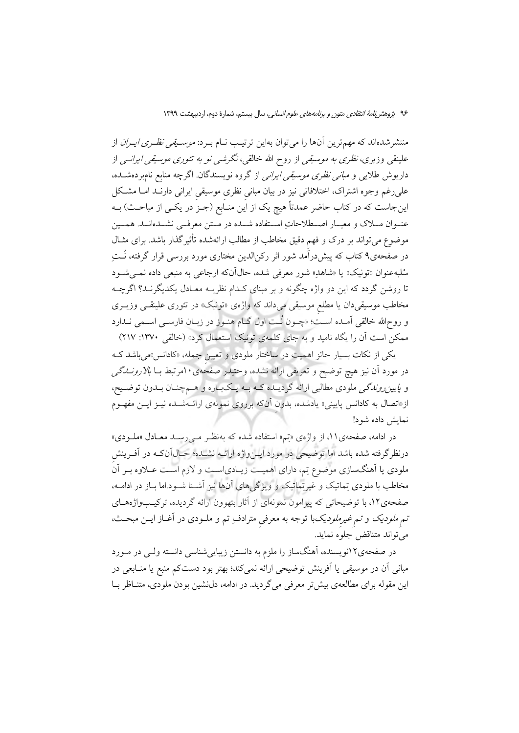منتشرشدهاند که مهمترین آنها را می توان بهاین ترتیب نــام بــرد: *موســیقی نظــری ایــران* از علینقی وزیری، *نظری به موسیقی* از روح الله خالقی، *نگرشی نو به تئوری موسیقی ایرانسی* از داریوش طلایی و *مبانی نظری موسیقی ایرانی* از گروه نویسندگان. اگرچه منابع نام<sub>ا</sub>بردهشــده، علىرغم وجوه اشتراك، اختلافاتي نيز در بيان مباني نظري موسيقي ايراني دارنـد امــا مشـكل اینجاست که در کتاب حاضر عمدتاً هیچ یک از این منـابع (جـز در یکـی از مباحـث) بــه عنــوان مـــلاک و معيــار اصـــطلاحاتِ اســتفاده شـــده در مــتن معرفــي نشــدهانــد. همــين موضوع می تواند بر درک و فهم دقیق مخاطب از مطالب ارائهشده تأثیرگذار باشد. برای مثـال در صفحهی۹ کتاب که پیشدرآمد شور اثر رکن|لدین مختاری مورد بررسی قرار گرفته، نُــتِ سُلبهعنوان «تونيک» يا «شاهدِ» شور معرفي شده، حال1آن4 ارجاعي به منبعي داده نمــي شــود تا روشن گردد که این دو واژه چگونه و بر مبنای کـدام نظریـه معـادل یکدیگرنـد؟ اگرچــه مخاطب موسیقیدان یا مطلع موسیقی میداند که واژهی «تونیک» در تئوری علینقـبی وزیــری و روحالله خالقی اَمــده اســت؛ «چــون نُــت اول گــام هنــوز در زبــان فارســی اســمی نــدارد ممکن است آن را یگاه نامید و به جای کلمهی تونیک استعمال کرد» (خالقی ۱۳۷۰: ۲۱۷)

یکی از نکات بسیار حائز اهمیت در ساختار ملودی و تعیین جمله، «کادانس»میباشد ک در مورد آن نیز هیچ توضیح و تعریفی ارائه نشده، وحتیدر صفحهی ۱۰مرتبط بـا *بالارونــدگی* و *پایین روندگی* ملودی مطالبی ارائه گردیــده کــه بــه یــکبــاره و هــمچنــان بــدون توضــیح، از«اتصال به کادانس پایینی» یادشده، بدون آنکه برروی نمونهی ارائـهشــده نیــز ایــن مفهــوم نمايش داده شود!

در ادامه، صفحهی ۱۱، از واژهی «تِم» استفاده شده که بهنظـر مـیرسـد معـادل «ملـودی» درنظرگرفته شده باشد اما توضیحی در مورد ایــنواژه ارائــه نشــده؛ حــال1آنکــه در آفــرینش ملودی یا آهنگسازی موضوع تِم، دارای اهمیت زیـادیاسـت و لازم اسـت عــلاوه بـر آن مخاطب با ملودی تِماتیک و غیرتِماتیک و ویژگیهای آنها نیز آشـنا شـود.اما بـاز در ادامــه، صفحهی۱۲، با توضیحاتی که پیرامون نمونهای از آثار بتهوون ارائه گردیده، ترکیبواژههای تم *ملودیک و تم غیرملودیک*با توجه به معرفی مترادف ِتم و ملـودی در آغـاز ایــن مبحــث، مي تواند متناقض جلوه نمايد.

در صفحهی۲۲نویسنده، آهنگساز را ملزم به دانستن زیباییشناسی دانسته ولـی در مـورد مبانی آن در موسیقی یا اَفرینش توضیحی ارائه نمیکند؛ بهتر بود دستکم منبع یا منـابعی در این مقوله برای مطالعهی بیش تر معرفی می گردید. در ادامه، دل نشین بودن ملودی، متنــاظر بــا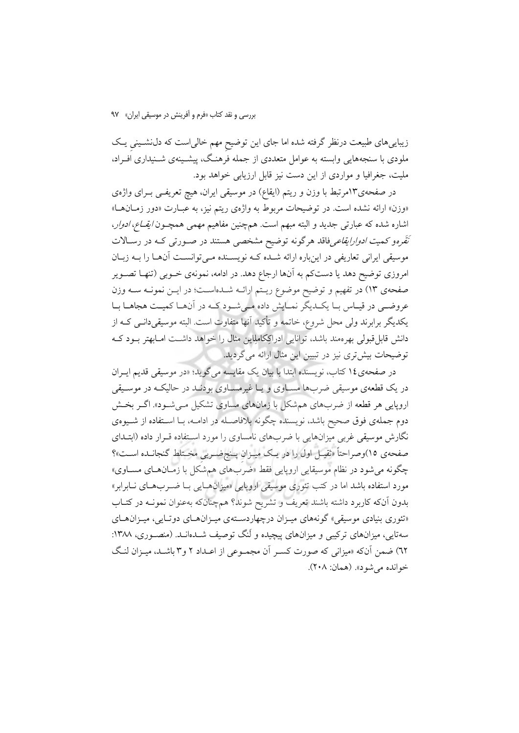زیباییهای طبیعت درنظر گرفته شده اما جای این توضیح مهم خالیاست که دل نشـینی یـک ملودی با سنجههایی وابسته به عوامل متعددی از جمله فرهنگ، پیشـینهی شـنیداری افـراد، ملیت، جغرافیا و مواردی از این دست نیز قابل ارزیابی خواهد بود.

در صفحهی۱۳مرتبط با وزن و ریتم (ایقاع) در موسیقی ایران، هیچ تعریفـی بــرای واژهی «وزن» ارائه نشده است. در توضیحات مربوط به واژهی ریتم نیز، به عبارت «دور زمـانهـا» اشاره شده كه عبارتي جديد و البته مبهم است. هم چنين مفاهيم مهمي همچـون *ايقـاع، ادوار*، *نَقَره*و کمی*ت ادوارایقاعی*فاقد هرگونه توضیح مشخصی هستند در صـورتی کـه در رسـالات موسیقی ایرانی تعاریفی در اینباره ارائه شـده کـه نویسـنده مـی توانسـت آنهـا را بـه زبـان امروزی توضیح دهد یا دستکم به آنها ارجاع دهد. در ادامه، نمونهی خـوبی (تنهـا تصـویر صفحهی ۱۳) در تفهیم و توضیح موضوع ریـتم ارائــه شــدهاســت؛ در ایــن نمونــه ســه وزن عروضی در قیاس بـا یکـدیگر نمـایش داده مـیشـود کـه در آنهـا کمیـت هجاهـا بـا یکدیگر برابرند ولی محل شروع، خاتمه و تأکید آنها متفاوت است. البته موسیقیدانــی کــه از دانش قابل قبولی بهرهمند باشد، توانایی ادراکِکاملِاین مثال را خواهد داشـت امـابهتر بــود کــه توضیحات بیش تری نیز در تبیین این مثال ارائه می گردید.

در صفحهي1٤ كتاب، نويسنده ابتدا با بيان يك مقايسه ميگويد؛ «در موسيقى قديم ايــران در یک قطعهی موسیقی ضربها مسـاوی و یـا غیرمسـاوی بودنـد در حالیکـه در موسـیقی اروپایی هر قطعه از ضربهای همشکل با زمانهای مساوی تشکیل می شـود». اگـر بخـش دوم جملهی فوق صحیح باشد، نویسنده چگونه بلافاصـله در ادامــه، بــا اســتفاده از شــیوهی نگارش موسیقی غربی میزانهایی با ضربهای نامساوی را مورد استفاده قـرار داده (ابتـدای صفحهی ۱۵)وصراحتاً «ثقیـل اول را در یـک میـزان پـنجضـربی مخـتلط گنجانـده اسـت»؟ چگونه میشود در نظام موسیقایی اروپایی فقط «ضرَبهای همشَکل با زمـانهــای مســاوی» مورد استفاده باشد اما در کتب تئوری موسیقی اروپایی «میزانهـایی بـا ضـربهـای نـابرابر» بدون آنکه کاربرد داشته باشند تعریف و تشریح شوند؟ همچنانکه بهعنوان نمونـه در کتـاب «تئوری بنیادی موسیقی» گونههای میـزان درچهاردسـتهی میـزانهـای دوتـایی، میـزانهـای سهتایی، میزانهای ترکیبی و میزانهای پیچیده و لَنگ توصیف شــدهانــد. (منصــوری، ۱۳۸۸: ٦٢) ضمن أنكه «ميزاني كه صورت كسير أن مجمـوعي از اعـداد ٢ و٣ باشـد، ميـزان لنـگ خوانده مي شود». (همان: ٢٠٨).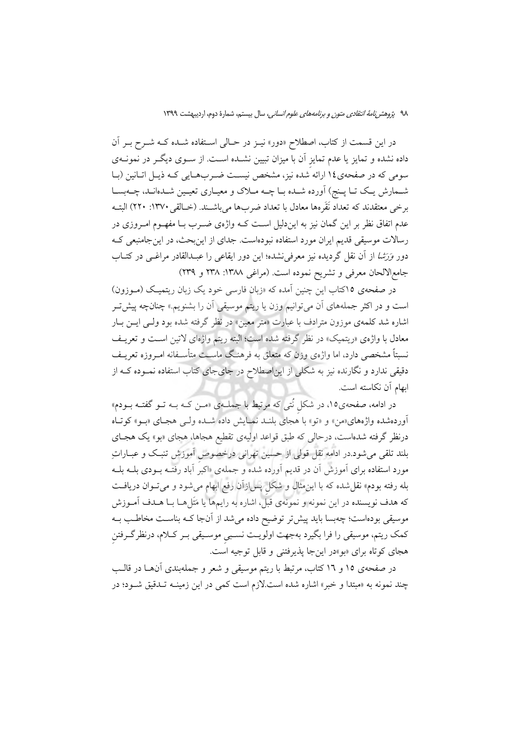در این قسمت از کتاب، اصطلاح «دور» نیـز در حـالی اسـتفاده شـده کــه شــرح بــر آن داده نشده و تمایز یا عدم تمایز آن با میزان تبیین نشــده اســت. از ســوی دیگــر در نمونــهی سومی که در صفحهی ١٤ ارائه شده نيز، مشخص نيست ضـربهـايي کـه ذيـل اتـانين (بـا شـمارش یـک تـا پـنج) اَورده شـده بـا چــه مـلاک و معیـاري تعیـین شـدهانـد، چــهبسـا برخي معتقدند كه تعداد نَقَرهها معادل با تعداد ضربها مي باشــند. (خــالقي ١٣٧٠: ٢٢٠) البتــه عدم اتفاق نظر بر این گمان نیز به ایندلیل است کــه واژهی ضــرب بــا مفهــوم امــروزی در رسالات موسیقی قدیم ایران مورد استفاده نبودهاست. جدای از اینبحث، در این جامنبعی ک دور *وَرَشا از آن نقل گردیده نیز معرفی*نشده؛ این دور ایقاعی را عبـدالقادر مراغـبی در کتـاب جامع|لالحان معرفی و تشریح نموده است. (مراغی ۱۳۸۸: ۲۳۸ و ۲۳۹)

در صفحهی ۱۵کتاب این چنین آمده که «زبان فارسی خود یک زبان ریتمیک (موزون) است و در اکثر جملههای آن میتوانیم وزن یا ریتم موسیقی آن را بشنویم.» چنانچه پیش *تـر* اشاره شد کلمهی موزون مترادف با عبارت «متر معین» در نظر گرفته شده بود ولـی ایــن بــار معادل با واژهي «ريتميک» در نظر گرفته شده است؛ البته ريتم واژهاي لاتين است و تعريـف نسبتاً مشخصی دارد، اما واژهی وزن که متعلق به فرهنگ ماسـت متأسـفانه امــروزه تعریـف دقیقی ندارد و نگارنده نیز به شکلی از این|صطلاح در جایجای کتاب استفاده نمـوده کــه از ابهام آن نكاسته است.

در ادامه، صفحهی۱۵، در شکل نٌتی که مرتبط با جملـهی «مـن کـه بــه تــو گفتــه بــودم» آوردهشده واژههای«من» و «تو» با هجای بلنــد نمــایش داده شــده ولــی هجـای «بــو» کوتــاه درنظر گرفته شدهاست، درحال<sub>ی</sub> که طبق قواعد اولیهی تقطیع هجاها، هجای «بو» یک هجـای بلند تلقى مى شود.در ادامه نقل قولى از حسين تهرانى درخصوص آموزش تنبك و عبــاراتِ مورد استفاده برای آموزش آن در قدیم آورده شده و جملهی «اکبر آباد رفتـه بــودی بلــه بلــه بله رفته بودم» نقل شده که با این مثال و شکل پس ازآن رفع ابهام می شود و می تــوان دریافــت که هدف نویسنده در این نمونه و نمونهی قبل، اشاره به رایمها یا مَتَلها بـا هــدف آمــوزش موسیقی بودهاست؛ چهبسا باید پیش تر توضیح داده می شد از آنجا کـه بناسـت مخاطـب بـه كمك ريتم، موسيقى را فرا بگيرد بهجهت اولويـت نسـبي موسـيقى بـر كـلام، درنظرگـرفتن هجای کوتاه برای «بو»در اینجا پذیرفتنی و قابل توجیه است.

در صفحهی ۱۵ و ۱۲ کتاب، مرتبط با ریتم موسیقی و شعر و جملهبندی آنهــا در قالــب چند نمونه به «مبتدا و خبر» اشاره شده است.لازم است کمی در این زمینــه تــدقیق شــود؛ در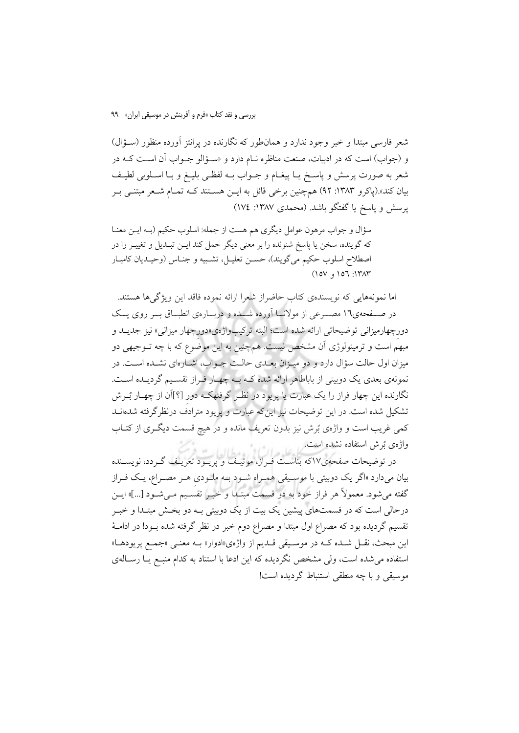شعر فارسی مبتدا و خبر وجود ندارد و همانطور که نگارنده در برانتز آورده منظور (سـؤال) و (جواب) است که در ادبیات، صنعت مناظره نـام دارد و «سـؤالو جـواب آن اسـت کـه در شعر به صورت پرسش و پاسـخ يــا پيغــام و جــواب بــه لفظــى بليــغ و بــا اســلوبى لطيــف بیان کند».(یاکرو ۱۳۸۳: ۹۲) همچنین برخی قائل به ایــن هســتند کــه تمــام شــعر مبتنــی بــر پرسش و پاسخ یا گفتگو باشد. (محمدی ۱۳۸۷: ۱۷٤)

سؤال و جواب مرهون عوامل دیگری هم هست از جمله: اسلوب حکیم (بــه ایــن معنــا که گوینده، سخن یا یاسخ شنونده را بر معنی دیگر حمل کند ایــن تبــدیل و تغییــر را در اصطلاح اسلوب حکیم میگویند)، حسـن تعلیـل، تشـبیه و جنـاس (وحیـدیان کامیـار  $(10V, 107, 171T)$ 

اما نمونههایی که نویسندهی کتاب حاضراز شعرا ارائه نموده فاقد این ویژگیها هستند. در صـفحهي١٦ مصـرعي از مولانــا آورده شــده و دربــارهي انطبــاق بــر روى يــک دورچهارمیزانی توضیحاتی ارائه شده است؛ البته ترکیبواژهی«دورچهار میزانی» نیز جدیــد و مبهم است و ترمینولوژی آن مشخص نیست. همچنین به این موضوع که با چه تــوجیهی دو میزان اول حالت سؤال دارد و دو میـزان بعـدی حالـت جـواب، اشـارهای نشـده اسـت. در نمونهی بعدی یک دوبیتی از باباطاهر ارائه شده کـه بـه چهـار فـراز تقسـیم گردیـده اسـت. نگارنده این چهار فراز را یک عبارت یا پریود در نظـر گرفتهکـه دور [؟]آن از چهـار بُــرش تشکیل شده است. در این توضیحات نیز این که عبارت و پریود مترادف درنظر گرفته شدهانـد کمی غریب است و واژهی بُرش نیز بدون تعریف مانده و در هیچ قسمت دیگــری از کتــاب واژهي بُرش استفاده نشده است.

-<br>در توضیحات صفحهی۱۷که بناسـت فـراز، موتیـف و پریـود تعریـف گـردد، نویســنده بیان میدارد «اگر یک دوبیتی با موسـیقی همـراه شـود بـه ملـودی هـر مصـراع، یـک فـراز گفته می شود. معمولاً هر فراز خود به دو قسمت مبتـدا و خبـر تقسـيم مـی شـود […]» ايــن درحالي است كه در قسمتهاي پيشين يك بيت از يک دوبيتي بـه دو بخـش مبتـدا و خبـر تقسیم گردیده بود که مصراع اول مبتدا و مصراع دوم خبر در نظر گرفته شده بــود! در ادامــهٔ اين مبحث، نقـل شـده كـه در موسـيقى قـديم از واژهي«ادوار» بـه معنـى «جمـع پريودهـا» استفاده می شده است، ولی مشخص نگردیده که این ادعا با استناد به کدام منبـع یـا رسـالهی موسیقی و با چه منطقی استنباط گردیده است!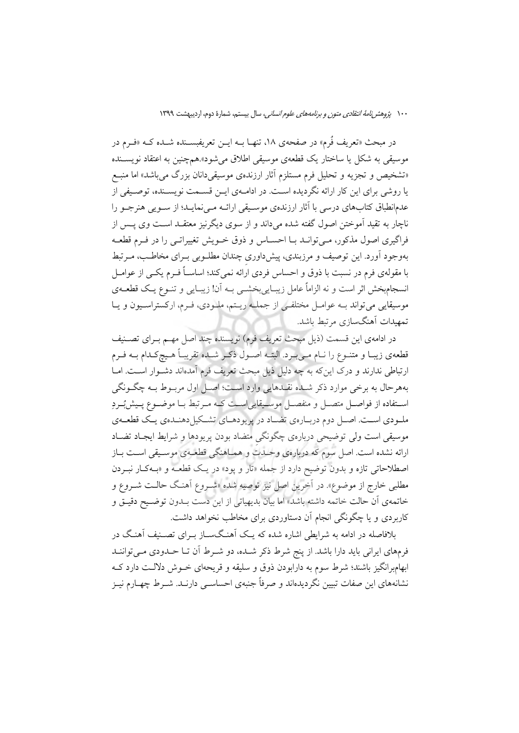در مبحث «تعریف فُرم» در صفحهی ۱۸، تنهـا بــه ایــن تعریفبســنده شــده کــه «فــرم در موسیقی به شکل یا ساختار یک قطعهی موسیقی اطلاق می شود».همچنین به اعتقاد نویســنده «تشخیص و تجزیه و تحلیل فرم مستلزم آثار ارزندهی موسیقیدانان بزرگ می باشد» اما منبع یا روشی برای این کار ارائه نگردیده است. در ادامـهی ایــن قســمت نویســنده، توصــیفی از عدمانطباق کتابهای درسی با آثار ارزندهی موسیقی ارائـه مـی نمایـد؛ از سـویی هنرجـو را ناچار به تقید آموختن اصول گفته شده میداند و از سوی دیگرنیز معتقــد اســت وی پــس از فراگیری اصول مذکور، مـی توانــد بــا احســاس و ذوق خــویش تغییراتــی را در فــرم قطعــه بهوجود آورد. این توصیف و مرزبندی، پیش داوری چندان مطلـوبی بـرای مخاطـب، مـرتبط با مقولهی فرم در نسبت با ذوق و احساس فردی ارائه نمی کند؛ اساسـاً فــرم یکــی از عوامــل انسجامبخش اثر است و نه الزاماً عامل زیبـاییبخشـی بـه آن! زیبـایی و تنــوع یـک قطعــهی موسیقایی میتواند بــه عوامــل مختلفــی از جملــه ریــتم، ملــودی، فــرم، ارکستراســیون و یــا تمهيدات أهنگسازي مرتبط باشد.

در ادامهي اين قسمت (ذيل مبحث تعريف فرم) نويسنده چند اصل مهـم بـراي تصـنيف قطعهی زیبـا و متنــوع را نــام مــیبــرد. البتــه اصــول ذکــر شــده تقریبــاً هــیچکـدام بــه فــرم ارتباطی ندارند و درک این که به چه دلیل ذیل مبحث تعریف فرم آمدهاند دشـوار اسـت. امـا بههرحال به برخي موارد ذكر شـده نقـدهايي وارد اسـت؛ اصـل اول مربـوط بـه چگـونگي استفاده از فواصل متصل و منفصل موسـيقايي|سـت كـه مـرتبط بـا موضـوع پـيش؛بـردِ ملـودي اسـت. اصـل دوم دربـارهي تضـاد در پريودهـاي تشـكيل(دهنـدهي يـك قطعــهي موسیقی است ولی توضیحی دربارهی چگونگی متضاد بودن پریودها و شرایط ایجـاد تضـاد ارائه نشده است. اصل سوم که دربارهی وحـدت و همـاهنگی قطعـهی موسـیقی اسـت بـاز اصطلاحاتی تازه و بدون توضیح دارد از جمله «تار و پود» در یک قطعـه و «بـهکـار نبـردن مطلبي خارج از موضوع». در اَخرين اصل نيز توصيه شده «شـروع اَهنـگ حالـت شــروع و خاتمهي أن حالت خاتمه داشته باشد» اما بيان بديهياتي از اين دست بــدون توضــيح دقيــق و کاربردی و یا چگونگی انجام آن دستاوردی برای مخاطب نخواهد داشت.

.<br>بلافاصله در ادامه به شرایطی اشاره شده که یـک اَهنـگـســاز بــرای تصــنیف اَهنـگ در فرمهای ایرانی باید دارا باشد. از پنج شرط ذکر شـده، دو شـرط آن تــا حـدودی مــیتواننــد ابهامبرانگیز باشند؛ شرط سوم به دارابودن ذوق و سلیقه و قریحهای خــوش دلالــت دارد کــه نشانههای این صفات تبیین نگردیدهاند و صرفاً جنبهی احساســی دارنــد. شــرط چهــارم نیــز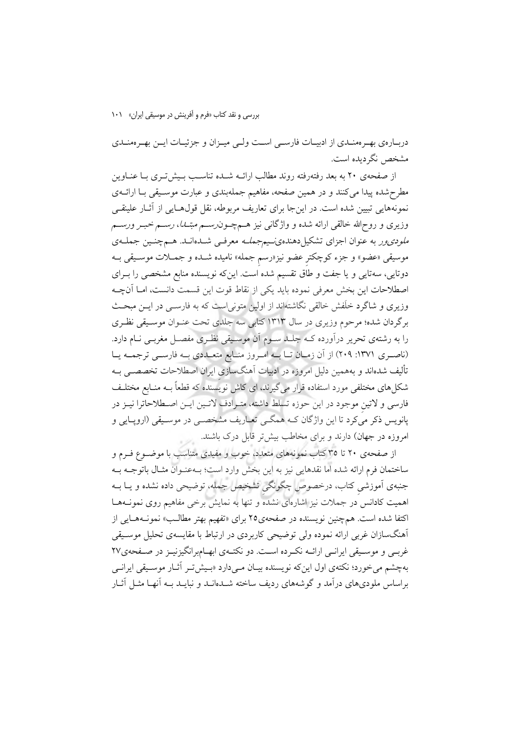### بررسی و نقد کتاب «فرم و آفرینش در موسیقی ایران» ۱۰۱

دربـارهي بهـرهمنـدي از ادبيــات فارســي اســت ولــي ميــزان و جزئيــات ايــن بهــرهمنــدي مشخص نگردیده است.

از صفحهی ۲۰ به بعد رفتهرفته روند مطالب ارائــه شــده تناسـب بــیش تــری بــا عنــاوین مطرحشده پیدا میکنند و در همین صفحه، مفاهیم جملهبندی و عبارت موسـیقی بـا ارائــهی نمونههایی تبیین شده است. در اینجا برای تعاریف مربوطه، نقل قولهـایی از آثـار علینقـی وزیری و روحالله خالقی ارائه شده و واژگانی نیز هـمچــون(ســم *مبتــا)، رســم خبــر ورســم ملودی ور* به عنوان اجزای تشکیلدهندهی سیم جم*لـه* معرفـی شــدهانــد. هــم چنــین جملــهی موسیقی «عضو» و جزء کوچکتر عضو نیز«رسم جمله» نامیده شـده و جمــلات موســیقی بــه دوتایی، سهتایی و یا جفت و طاق تقسیم شده است. اینکه نویسنده منابع مشخصی را بــرای اصطلاحات این بخش معرفی نموده باید یکی از نقاط قوت این قسمت دانست، امـا آنچـه وزیری و شاگرد خلّفش خالقی نگاشتهاند از اولین متونی است که به فارســی در ایــن مبحــث برگردان شده؛ مرحوم وزیری در سال ۱۳۱۳ کتابی سه جلدی تحت عنـوان موسـیقی نظـری را به رشتهی تحریر درآورده کــه جلــد ســوم آن موســیقی نظـری مفصــل مغربــی نــام دارد. (ناصـري ١٣٧١: ٢٠٩) از آن زمـان تـا بــه امـروز منـابع متعـددي بــه فارســي ترجمــه يــا تألیف شدهاند و بههمین دلیل امروزه در ادبیات آهنگسازی ایران اصطلاحات تخصصــی بــه شکلهای مختلفی مورد استفاده قرار میگیرند، ای کاش نویسنده که قطعاً بــه منــابع مختلــف فارسی و لاتین موجود در این حوزه تسلط داشته، متـرادف لاتـین ایـن اصـطلاحاترا نیـز در پانویس ذکر میکرد تا این واژگان کـه همگـی تعـاریف مشخصـی در موسـیقی (اروپــایی و امروزه در جهان) دارند و برای مخاطب بیش تر قابل درک باشند.

از صفحهی ۲۰ تا ۳۵کتاب نمونههای متعدد، خوب و مفیدی متناسب با موضـوع فـرم و ساختمان فرم ارائه شده اما نقدهايي نيز به اين بخش وارد است؛ بـهعنـوان مثـال باتوجـه بـه جنبهی آموزشی کتاب، درخصوص چگونگی تشخیص جمله، توضیحی داده نشده و یــا بــه اهمیت کادانس در جملات نیز اشارهای نشده و تنها به نمایش برخی مفاهیم روی نمونـههـا اکتفا شده است. همچنین نویسنده در صفحهی۲۵ برای «تفهیم بهتر مطالب» نمونـههـایی از اّهنگسازان غربی ارائه نموده ولی توضیحی کاربردی در ارتباط با مقایسهی تحلیل موسـیقی غربـی و موسـیقی ایرانـی ارائـه نکـرده اسـت. دو نکتـهی ابهـامبرانگیزنیـز در صـفحهی٢٧ بهچشم می خورد؛ نکتهی اول این که نویسنده بیـان مـیbدارد «بـیش تـر آثـار موسـیقی ایرانـی براساس ملودیهای درآمد و گوشههای ردیف ساخته شــدهانــد و نبایــد بــه آنهــا مثــل آثــار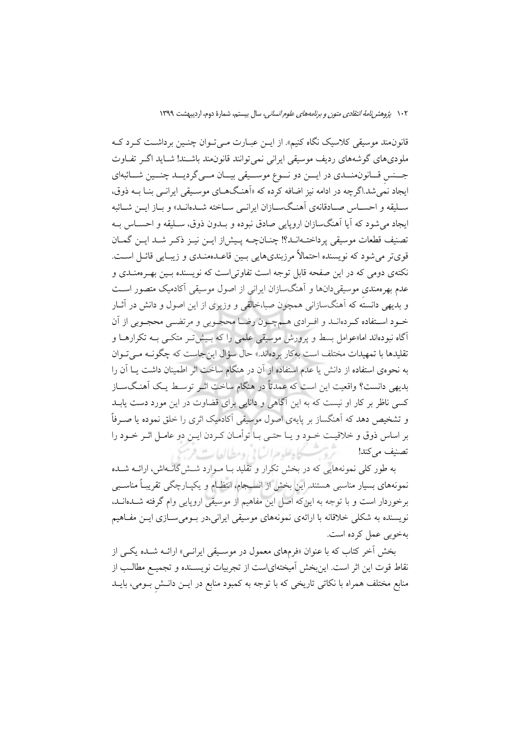قانون.مند موسیقی کلاسیک نگاه کنیم». از ایــن عبــارت مــی تــوان چنــین برداشــت کــرد کــه ملودیهای گوشههای ردیف موسیقی ایرانی نمیتوانند قانون‰ باشـند! شـاید اگــر تفــاوت جسس قـانون منــدي در ايــن دو نــوع موســيقى بيــان مــى گرديــد چنــين شــائبهاي ایجاد نمّی شد.اگرچه در ادامه نیز اضافه کرده که «اَهنگهــای موســیقی ایرانــی بنــا بــه ذوق، سـليقه و احســاس صــادقانهي آهنـگســازان ايرانــي ســاخته شــدهانــد» و بــاز ايــن شــائبه ايجاد مي شود كه آيا آهنگسازان اروپايي صادق نبوده و بــدون ذوق، ســليقه و احســاس بــه تصنيف قطعات موسيقى يرداختــهانــد؟! چنــانچــه پــيش|ز ايــن نيــز ذكــر شــد ايــن گمــان قوىتر مى شود كه نويسنده احتمالاً مرزبندىهايى بـين قاعــدممنـدى و زيبـايى قائــل اســت. نکتهی دومی که در این صفحه قابل توجه است تفاوتی است که نویسنده بسین بهـر ممنــدی و عدم بهرهمندی موسیقیدانها و آهنگسازان ایرانی از اصول موسیقی آکادمیک متصور است و بدیهی دانسته که آهنگسازانی همچون صبا،خالقی و وزیری از این اصول و دانش در آثـار خـود اسـتفاده كـردهانـد و افـرادي هـمچـون رضـا محجـوبي و مرتضـي محجـوبي از آن ۔<br>آگاہ نبودہاند اما«عوامل بسط و یرورش موسیقی علمی را که بـیش تـر متکـی بــه تکرارهــا و تقلیدها با تمهیدات مختلف است بهکار بردهاند.» حال سؤال این جاست که چگونـه مـیتوان به نحووی استفاده از دانش یا عدم استفاده از آن در هنگام ساخت اثر اطمینان داشت یــا آن را بديهي دانست؟ واقعيت اين است كه عمدتاً در هنگام ساخت اثـر توسـط يـك أهنـگسـاز کسی ناظر بر کار او نیست که به این آگاهی و دانایی برای قضاوت در این مورد دست یابــد و تشخیص دهد که آهنگساز بر پایهی اصول موسیقی آکادمیک اثری را خلق نموده یا صـرفاً بر اساس ذوق و خلاقیت خـود و یـا حتـی بـا توأمـان کـردن ایــن دو عامـل اثـر خـود را ثرو بمسكاه علوم السابي ومطالعات تصنيف مي كند!

به طور کلی نمونههایی که در بخش تکرار و تقلید بـا مـوارد شــش گانــهاش، ارائــه شــده نمونههای بسیار مناسبی هستند. این بخش از انسـجام، انتظـام و یکیـارچگی تقریبـاً مناسـبی برخوردار است و با توجه به اینکه اصل این مفاهیم از موسیقی اروپایی وام گرفته شــدمانــد، .<br>نویسنده به شکلی خلاقانه با ارائهی نمونههای موسیقی ایرانی،در بـومیسـازی ایــن مفـاهیم بهخوبي عمل كرده است.

بخش آخر کتاب که با عنوان «فرمهای معمول در موسـیقی ایرانـی» ارائــه شــده یکــی از نقاط قوت این اثر است. اینبخش اَمیختهایاست از تجربیات نویســنده و تجمیـع مطالــب از منابع مختلف همراه با نکاتی تاریخی که با توجه به کمبود منابع در ایــن دانــش بــومی، بایــد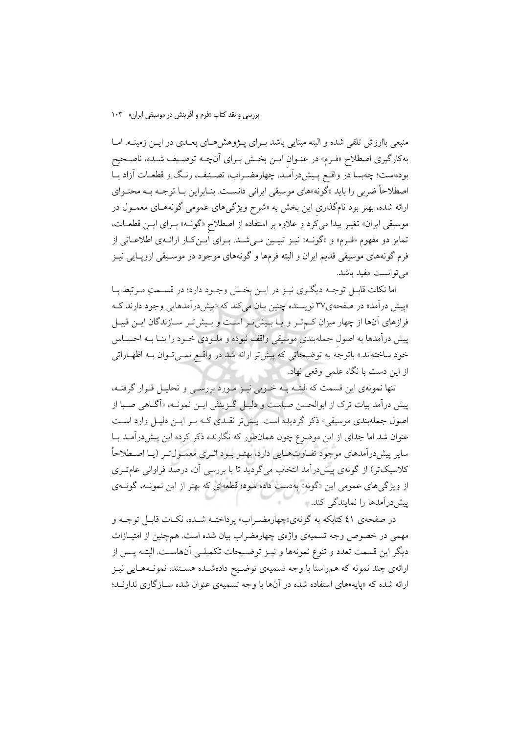منبعی باارزش تلقی شده و البته مبنایی باشد بـرای پـژوهش هـای بعـدی در ایــن زمینــه. امــا به كارگيري اصطلاح «فـرم» در عنـوان ايــن بخـش بـراي آنچــه توصـيف شــده، ناصـحيح بودهاست؛ چهبسا در واقـع پـیش(درآمـد، چهارمضـراب، تصـنیف، رنـگ و قطعـات آزاد یـا اصطلاحاً ضربی را باید «گونه»های موسیقی ایرانی دانست. بنـابراین بـا توجـه بـه محتـوای ارائه شده، بهتر بود نامگذاری این بخش به «شرح ویژگیهای عمومی گونههـای معمـول در موسیقی ایران» تغییر پیدا می کرد و علاوه بر استفاده از اصطلاح «گونـه» بـرای ایـن قطعـات، تمایز دو مفهوم «فـرم» و «گونـه» نیـز تبیـین مـیشـد. بـرای ایـنِکـار ارائـهی اطلاعـاتی از فرم گونههای موسیقی قدیم ایران و البته فرمها و گونههای موجود در موسـیقی اروپـایی نیـز می توانست مفید باشد.

اما نكات قابـل توجـه ديگـرى نيـز در ايـن بخـش وجـود دارد؛ در قسـمتِ مـرتبط بـا «پیش درآمد» در صفحهی۳۷ نویسنده چنین بیان می کند که «پیش درآمدهایی وجود دارند ک فرازهای آنها از چهار میزان کـمتـر و یـا بـیشتر اسـت و بـیشتر سـازندگان ایـن قبیـل پیش درآمدها به اصول جملهبندی موسیقی واقف نبوده و ملـودی خـود را بنـا بــه احســاس خود ساختهاند.» باتوجه به توضیحاتی که پیشتر ارائه شد در واقع نمـیتوان بـه اظهـاراتی از این دست با نگاه علمی وقعی نهاد.

تنها نمونهي اين قسمت كه البتـه بـه خـوبي نيـز مـورد بررسـي و تحليـل قـرار گرفتـه، پیش درآمد بیات ترک از ابوالحسن صباست و دلیـل گـزینش ایـن نمونـه، «آگـاهی صـبا از اصول جملهبندی موسیقی» ذکر گردیده است. پیش تر نقـدی کـه بـر ایــن دلیــل وارد اســت عنوان شد اما جدای از این موضوع چون همانطور که نگارنده ذکر کرده این پیش درآمـد بـا سایر پیشدرآمدهای موجود تفـاوتهـایی دارد، بهتـر بـود اثـری معمـولتـر (یـا اصـطلاحاً کلاسیکتر) از گونهی پیش درآمد انتخاب میگردید تا با بررسی آن، درصد فراوانی عامتـری از ویژگیهای عمومی این «گونه» بهدست داده شود؛ قطعهای که بهتر از این نمونـه، گونـهی پیش درآمدها را نمایندگی کند.

در صفحهی ٤١ کتابکه به گونهی«چهارمضـراب» پرداختــه شــده، نکــات قابــل توجــه و مهمی در خصوص وجه تسمیهی واژهی چهارمضراب بیان شده است. همچنین از امتیــازات دیگر این قسمت تعدد و تنوع نمونهها و نیـز توضـیحات تکمیلـی آنهاسـت. البتـه پــس از ارائهي چند نمونه كه همراستا با وجه تسميهي توضـيح دادهشـده هسـتند، نمونـههـايي نيـز ارائه شده که «پایه»های استفاده شده در آنها با وجه تسمیهی عنوان شده سـازگاری ندارنـد؛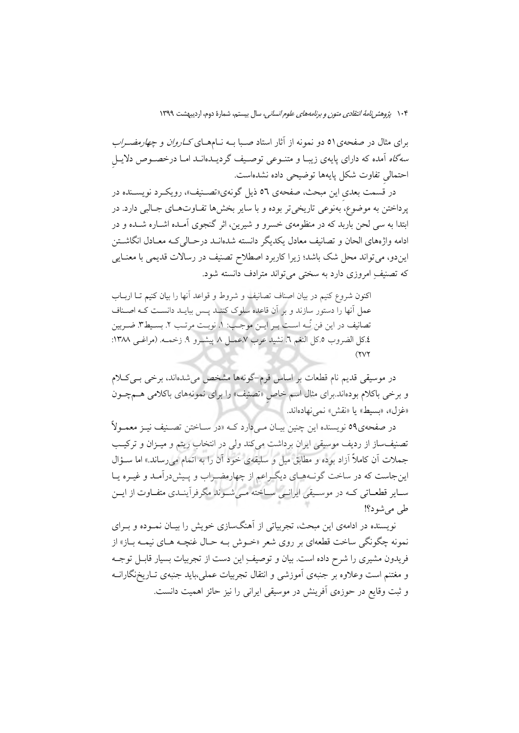برای مثال در صفحهی۵۱ دو نمونه از آثار استاد صـبا بــه نــامهــای *کــاروان و چهارمضــراب* سهگاه آمده که دارای پایهی زیبا و متنـوعی توصـیف گردیـدهانـد امـا درخصـوص دلایـل احتمالي تفاوت شكل پايهها توضيحي داده نشدهاست.

در قسمت بعدي اين مبحث، صفحهي ٥٦ ذيل گونهي«تصـنيف»، رويكـرد نويسـنده در يرداختن به موضوع، بهنوعي تاريخي تر بوده و با ساير بخش۵ها تفـاوتهـاي جـالبي دارد. در ابتدا به سی لحن باربد که در منظومهی خسرو و شیرین، اثر گنجوی آمـده اشـاره شـده و در ادامه واژههای الحان و تصانیف معادل یکدیگر دانسته شدهانـد درحـالی کـه معـادل انگاشـتن ایندو، میتواند محل شک باشد؛ زیرا کاربرد اصطلاح تصنیف در رسالات قدیمی با معنایی که تصنیفِ امروزی دارد به سختی می تواند مترادف دانسته شود.

اکنون شروع کنیم در بیان اصناف تصانیف و شروط و قواعد آنها را بیان کنیم تـا اربــاب عمل آنها را دستور سازند و بر آن قاعده سلوک کننـد پـس ببایـد دانسـت کـه اصـناف تصانيف در اين فن نُــه اســت بــر ايــن موجــب: ١. نوبــت مرتــب ٢. بســيطـ٣. ضــربين ٤.كل الضروب ٥.كل النغم ٦. نشيد عرب ٧.عمـل ٨. پيشـرو ٩. زخمـه. (مراغـي ١٣٨٨:  $(11)$ 

در موسیقی قدیم نام قطعات بر اساس فرم–گونهها مشخص میشدهاند، برخی بسیکلام و برخی باکلام بودهاند.برای مثال اسم خاص «تصنیف» را برای نمونههای باکلامی هــمچــون «غزل»، «بسيط» يا «نقش» نمي نهادهاند.

در صفحهي90 نويسنده اين چنين بيـان مـيcارد كــه «در ســاختن تصــنيف نيــز معمــولاً تصنیف ساز از ردیف موسیقی ایران برداشت میکند ولی در انتخاب ریتم و میـزان و ترکیـب جملات أن كاملاً أزاد بوده و مطابق ميل و سليقهى خود أن را به اتمام مىرساند.» اما ســؤال اینجاست که در ساخت گونـههـای دیگـراعم از چهارمضـراب و پـیش(رامـد و غیـره یـا سبایر قطعباتی کبه در موسیقی ایرانسی سباخته مبی شبوند مگرفرآینیدی متفیاوت از ایس طي مي شو د؟!

نویسنده در ادامهی این مبحث، تجربیاتی از اَهنگسازی خویش را بیـان نمــوده و بــرای نمونه چگونگی ساخت قطعهای بر روی شعر «خــوش بــه حــال غنچــه هــای نیمــه بــاز» از فریدون مشیری را شرح داده است. بیان و توصیف ِاین دست از تجربیات بسیار قابـل توجـه و مغتنم است وعلاوه بر جنبهى أموزشي و انتقال تجربيات عملي،بايد جنبهى تــاريخنگارانــه و ثبت وقایع در حوزهی آفرینش در موسیقی ایرانی را نیز حائز اهمیت دانست.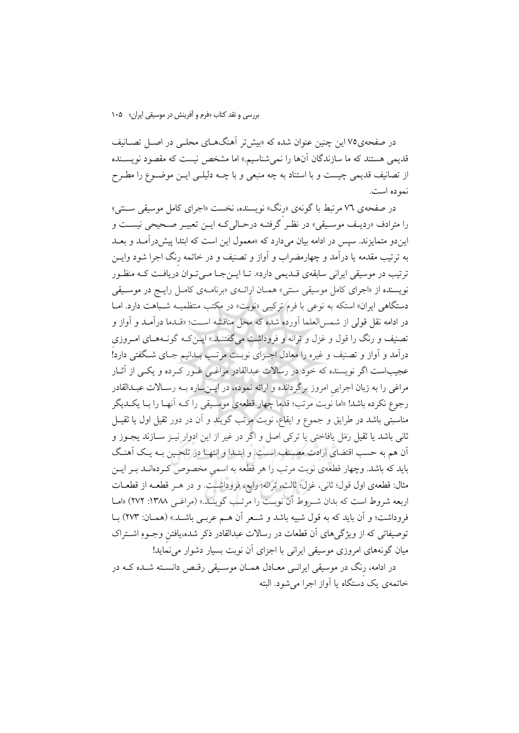در صفحهی۷۵ این چنین عنوان شده که «بیش تر آهنگهــای محلــی در اصــل تصــانیف قدیمی هستند که ما سازندگان آنها را نمی شناسیم.» اما مشخص نیست که مقصود نویســنده از تصانیف قدیمی چیست و با استناد به چه منبعی و با چــه دلیلــی ایــن موضــوع را مطــرح نمو ده است.

در صفحهی ۷٦ مرتبط با گونهی «رنگ» نویسنده، نخست «اجرای کامل موسیقی ســنتی» را مترادف «ردیـف موسـیقی» در نظـر گرفتـه درحـالیکـه ایـن تعبیـر صـحیحی نیسـت و این دو متمایزند. سیس در ادامه بیان می دارد که «معمول این است که ابتدا پیش درآمـد و بعـد به ترتیب مقدمه یا درآمد و چهارمضراب و آواز و تصنیف و در خاتمه رنگ اجرا شود وایــن ترتيب در موسيقى ايراني سابقهي قــديمي دارد». تــا ايـــن جــا مــي تــوان دريافــت كــه منظــور نويسنده از «اجراي كامل موسيقى سنتي» همـان ارائــهي «برنامــهي كامـل رايــج در موســيقى دستگاهی ایران» استکه به نوعی با فرم ترکیبی «نوبت» در مکتب منتظمیـه شـباهت دارد. امـا در ادامه نقل قولي از شمس العلما آورده شده كه محل مناقشه اسـت؛ «قــدما درآمــد و آواز و تصنیف و رنگ را قول و غزل و ترانه و فروداشت میگفتنــد.» ایــن۵ــه گونــههــای امــروزی درآمد و آواز و تصنیف و غیره را معادل اجـزای نوبـت مرتـب بـدانیم جـای شـگفتی دارد! عجیباست اگر نویسنده که خود در رسالات عبدالقادر مراغـی غــور کــرده و یکــی از آثــار مراغی را به زبان اجرایی امروز برگردانده و ارائه نموده، در ایــنبـاره بــه رسـالات عبــدالقادر رجوع نکرده باشد! «اما نوبت مرتب؛ قدما چهار قطعهی موسیقی را کـه آنهـا را بـا یکـدیگر مناسبتی باشد در طرایق و جموع و ایقاع، نوبت مرتب گویند و آن در دور ثقیل اول یا ثقیـل ثاني باشد يا ثقيل رَمَل يافاختي يا تركي اصل و اگر در غير از اين ادوار نيـز ســازند يجــوز و اّن هم به حسب اقتضاى ارادت مصـنف اسـت. و ابتـدا و انتهـا در تلحـين بـه يـك اَهنـگ باید که باشد. وچهار قطعهی نوبت مرتب را هر قطعه به اسمی مخصوص کـردهانــد بــر ایــن مثال: قطعهي اول قول؛ ثاني، غزل؛ ثالث، ترانه؛ رابع، فروداشت. و در هـر قطعــه از قطعــات اربعه شروط است كه بدان شـروط آن نوبـت را مرتـب گوينـد.» (مراغـي ١٣٨٨: ٢٧٢) «امـا فروداشت؛ و آن باید که به قول شبیه باشد و شـعر آن هـم عربـی باشـد.» (همـان: ٢٧٣) بـا توصیفاتی که از ویژگیهای آن قطعات در رسالات عبدالقادر ذکر شده،یافتن وجـوهِ اشــتراک میان گونههای امروزی موسیقی ایرانی با اجزای آن نوبت بسیار دشوار می نماید!

در ادامه، رنگ در موسیقی ایرانسی معـادل همـان موسـیقی رقـص دانسـته شـده کـه در خاتمهی یک دستگاه یا آواز اجرا می شود. البته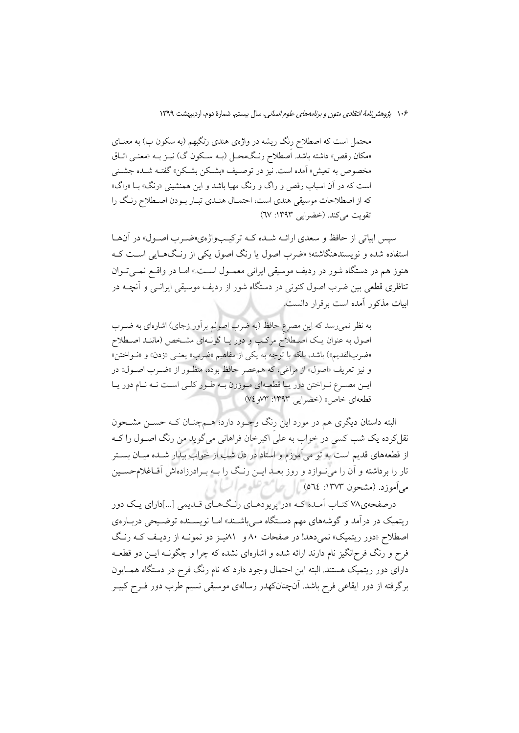محتمل است که اصطلاح رنگ ریشه در واژهی هندی رنگبهم (به سکون ب) به معنــای «مکان رقص» داشته باشد. اُصطلاح رنگمحـل (بـه سـکون گ) نیــز بــه «معنــی اتــاق مخصوص به تعیش» اَمده است. نیز در توصـیف «بشـکن بشـکن» گفتـه شـده جشـنی است که در آن اسباب رقص و راگ و رنگ مهیا باشد و این همنشینی «رنگ» بــا «راگ» که از اصطلاحات موسیقی هندی است، احتمـال هنـدی تبـار بـودن اصـطلاح رنـگ را تقويت مي كند. (خضرايي ١٣٩٣: ٦٧)

سپس ابیاتی از حافظ و سعدی ارائــه شــده کــه ترکیــبواژهی«ضــرب اصــول» در آنهــا استفاده شده و نویسندهنگاشته؛ «ضرب اصول یا رنگ اصول یکی از رنگهـایی اسـت کـه هنوز هم در دستگاه شور در رديف موسيقى ايراني معمـول اسـت.» امـا در واقـع نمـيتوان تناظری قطعی بین ضرب اصول کنونی در دستگاه شور از ردیف موسیقی ایرانسی و آنچــه در ابیات مذکور آمده است برقرار دانست.

به نظر نمی رسد که این مصرع حافظ (به ضرب اصولم برآور زجای) اشارهای به ضــرب اصول به عنوان یک اصطلاح مرکب و دور یـا گونـهای مشـخص (ماننـد اصـطلاح «ضربالقديم») باشد، بلكه با توجه به يكي از مفاهيم «ضرب» يعنـي «زدن» و «نــواختن» و نيز تعريف «اصول» از مراغي، كه هم عصر حافظ بوده، منظـور از «ضـرب اصـول» در ایـن مصـرع نـواختن دور یـا قطعـهای مـوزون بـه طـور کلـی اسـت نـه نـام دور یـا قطعهای خاص» (خضرایی ۱۳۹۳: ۷۳و ۷٤)

البته داستان دیگری هم در مورد این رنگ وجـود دارد؛ هــمچنــان کــه حســن مشــحون نقل کرده یک شب کسی در خواب به علی اکبرخان فراهانی می گوید من رنگ اصـول را کــه از قطعههای قدیم است به تو میآموزم و استاد در دل شب از خواب بیدار شـده میـان بســتر تار را برداشته و آن را می نوازد و روز بعــد ایــن رنــگ را بــه بــرادرزادهاش آقــاغلامحســين میآموزد. (مشحون ۱۳۷۳: ٥٦٤) [ جماع علوم السَّالِمُ ]

درصفحهی۷۸ کتـاب آمـده کـه «در پريودهـاي رنـگ&ـاي قـديمي [...]داراي يـک دور ریتمیک در درآمد و گوشههای مهم دستگاه مـی باشـند» امـا نویسـنده توضـیحی دربـارهی اصطلاح «دور ریتمیک» نمی دهد! در صفحات ۸۰ و ۸۱نیـز دو نمونـه از ردیـف کـه رنـگ فرح و رنگ فرح|نگیز نام دارند ارائه شده و اشارهای نشده که چرا و چگونــه ایــن دو قطعــه دارای دور ریتمیک هستند. البته این احتمال وجود دارد که نام رنگ فرح در دستگاه همـایون برگرفته از دور ایقاعی فرح باشد. آنچنانکهدر رسالهی موسیقی نسیم طرب دور فــرح کبیــر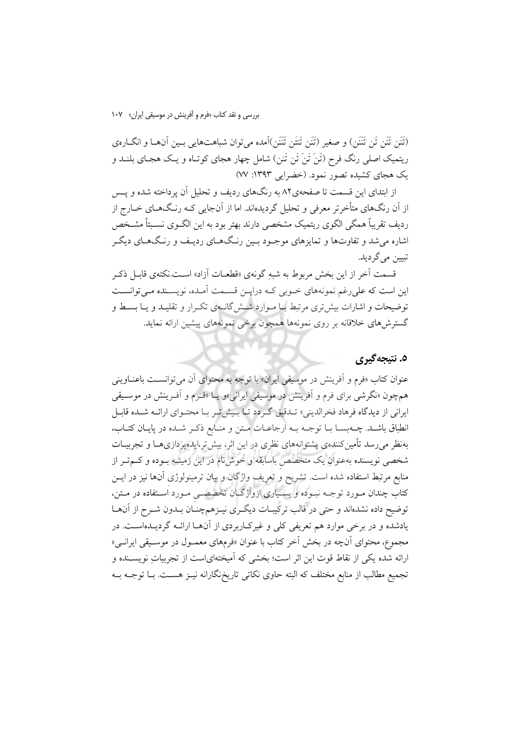(تَنَن تَنَن تَن تَنَنَن) و صغير (تَنَن تَتَن تَنَن)آمده مي توان شباهتهايي بـين آنهـا و انگــارهي ریتمیک اصلی رنگ فرح (تَنَ تَنَ تَنْ تَنن) شامل چهار هجای کوتـاه و یـک هجـای بلنــد و یک هجای کشیده تصور نمود. (خضرایی ۱۳۹۳: ۷۷)

از ابتدای این قسمت تا صفحهی۸۲ به رنگهای ردیف و تحلیل آن پرداخته شده و پــس از اَن رنگهای متأخرتر معرفی و تحلیل گردیدهاند. اما از اَنجایی کـه رنـگـهـای خــارج از ردیف تقریباً همگی الگوی ریتمیک مشخصی دارند بهتر بود به این الگــوی نســبتاً مشــخص اشاره می شد و تفاوتها و تمایزهای موجـود بـین رنـگ۱مـای ردیـف و رنـگ۱مـای دیگـر تبيين مي گر ديد.

قسمت آخر از این بخش مربوط به شبه گونهی «قطعیات آزاد» است.نکتهی قابیل ذک این است که علی رغم نمونههای خبوبی کبه درایین قسیمت آمیده، نویسینده می توانسیت توضیحات و اشارات بیش تری مرتبط بـا مـوارد شــش گانــهی تکــرار و تقلیــد و یــا بســط و گسترش های خلاقانه بر روی نمونهها همچون برخی نمونههای پیشین ارائه نماید.

## ٥. نتيجه گيري

عنوان کتاب «فرم و اَفرينش در موسيقى ايران» با توجه به محتواى اَن مى توانسـت باعنــاوينى همچون «نگرشی برای فرم و آفرینش در موسیقی ایرانی»و یـا «فـرم و آفـرینش در موسـیقی ایرانی از دیدگاه فرهاد فخرالدینی» تـدقیق گـردد تـا بـیش تـر بـا محتـوای ارائـه شـده قابـل انطباق باشـد. چـهبسـا بـا توجـه بـه ارجاعـات مـتن و منـابع ذكـر شـده در پايـان كتـاب، بهنظر می رسد تأمین کنندهی پشتوانههای نظری در این اثر، بیش تر،ایده پر دازیههـا و تجربیــات شخصی نویسنده بهعنوان یک متخصص باسابقه و خوشiام در این زمینــه بــوده و کــمتــر از منابع مرتبط استفاده شده است. تشریح و تعریف واژگان و بیان ترمینولوژی آنها نیز در ایــن کتاب چندان مـورد توجــه نبـوده و بسـياري ازواژگــان تخصصــي مـورد اسـتفاده در مــتن، توضیح داده نشدهاند و حتی در قالب ترکیبـات دیگـری نیـزهمچنـان بـدون شـرح از آنهـا یادشده و در برخی موارد هم تعریفی کلی و غیرک(ربردی از آنهـا ارائـه گردیـدهاسـت. در مجموع، محتواي آنچه در بخش آخر كتاب با عنوان «فرمهاي معمــول در موســيقى ايرانــي» ارائه شده یکی از نقاط قوت این اثر است؛ بخشی که اَمیختهایاست از تجربیات نویســنده و تجمیع مطالب از منابع مختلف که البته حاوی نکاتی تاریخنگارانه نیـز هسـت. بــا توجــه بــه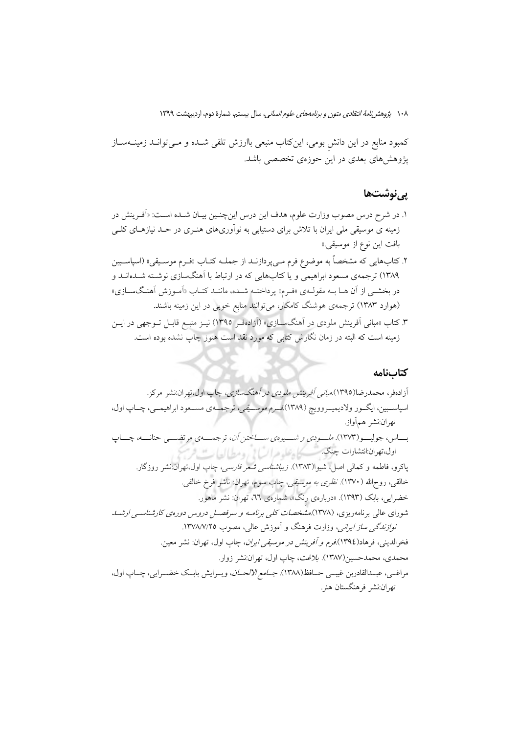کمبود منابع در این دانش بومی، اینکتاب منبعی باارزش تلقی شــده و مــیتوانــد زمینــهســاز پژوهشهای بعدی در این حوزهی تخصصی باشد.

### يىنوشتھا

- ۱. در شرح درس مصوب وزارت علوم، هدف این درس اینچنـین بیـان شـده اسـت: «اَفـرینش در زمینه ی موسیقی ملی ایران با تلاش برای دستیابی به نوآوریهای هنـری در حــد نیازهـای کلــی بافت اين نوع از موسيقي.»
- ۲. کتابهایی که مشخصاً به موضوع فرم مـیbپردازنــد از جملــه کتــاب «فــرم موســیقی» (اسپاســبین ۱۳۸۹) ترجمهی مسعود ابراهیمی و یا کتابهایی که در ارتباط با آهنگسازی نوشته شـدهانـد و در بخشبي از آن هـا بــه مقولــهي «فــرم» پرداختــه شــده، ماننــد كتــاب «آمــوزش آهنــگــســازي» (هوارد ۱۳۸۳) ترجمهی هوشنگ کامکار، میتوانند منابع خوبی در این زمینه باشند.
- ۳. کتاب «مبانی اَفرینش ملودی در اَهنگسـازی» (اَزادهفـر ۱۳۹۵) نیــز منبــع قابــل تــوجهی در ایــن زمینه است که البته در زمان نگارش کتابی که مورد نقد است هنوز چاپ نشده بوده است.

#### كتابنامه